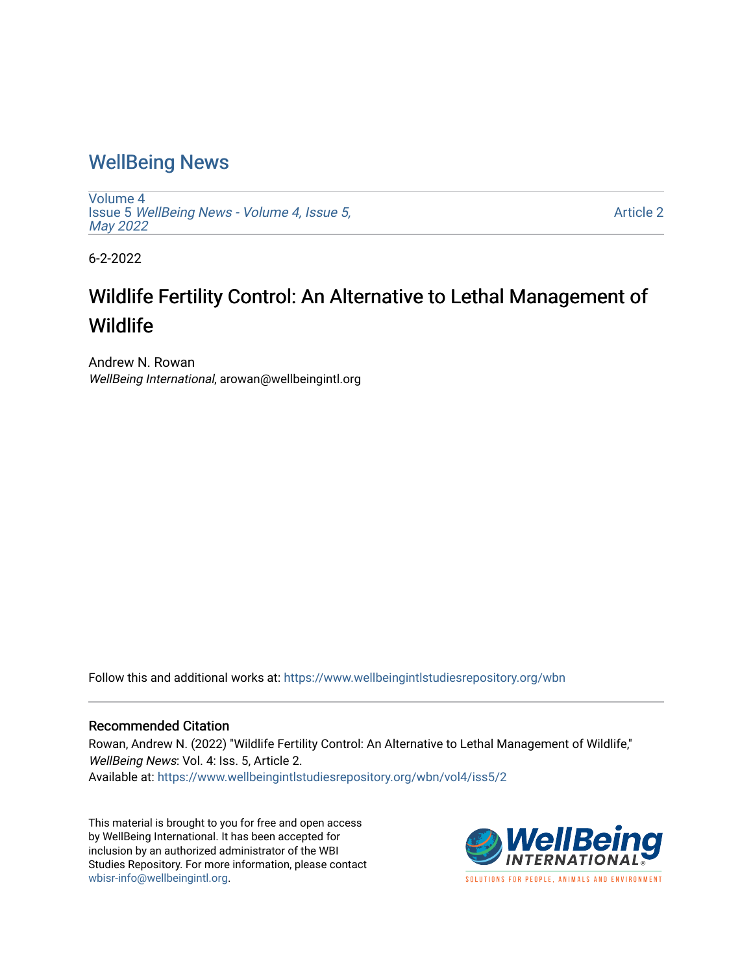## [WellBeing News](https://www.wellbeingintlstudiesrepository.org/wbn)

[Volume 4](https://www.wellbeingintlstudiesrepository.org/wbn/vol4) Issue 5 [WellBeing News - Volume 4, Issue 5,](https://www.wellbeingintlstudiesrepository.org/wbn/vol4/iss5) [May 2022](https://www.wellbeingintlstudiesrepository.org/wbn/vol4/iss5)

[Article 2](https://www.wellbeingintlstudiesrepository.org/wbn/vol4/iss5/2) 

6-2-2022

## Wildlife Fertility Control: An Alternative to Lethal Management of Wildlife

Andrew N. Rowan WellBeing International, arowan@wellbeingintl.org

Follow this and additional works at: [https://www.wellbeingintlstudiesrepository.org/wbn](https://www.wellbeingintlstudiesrepository.org/wbn?utm_source=www.wellbeingintlstudiesrepository.org%2Fwbn%2Fvol4%2Fiss5%2F2&utm_medium=PDF&utm_campaign=PDFCoverPages)

## Recommended Citation

Rowan, Andrew N. (2022) "Wildlife Fertility Control: An Alternative to Lethal Management of Wildlife," WellBeing News: Vol. 4: Iss. 5, Article 2. Available at: [https://www.wellbeingintlstudiesrepository.org/wbn/vol4/iss5/2](https://www.wellbeingintlstudiesrepository.org/wbn/vol4/iss5/2?utm_source=www.wellbeingintlstudiesrepository.org%2Fwbn%2Fvol4%2Fiss5%2F2&utm_medium=PDF&utm_campaign=PDFCoverPages)

This material is brought to you for free and open access by WellBeing International. It has been accepted for inclusion by an authorized administrator of the WBI Studies Repository. For more information, please contact [wbisr-info@wellbeingintl.org](mailto:wbisr-info@wellbeingintl.org).

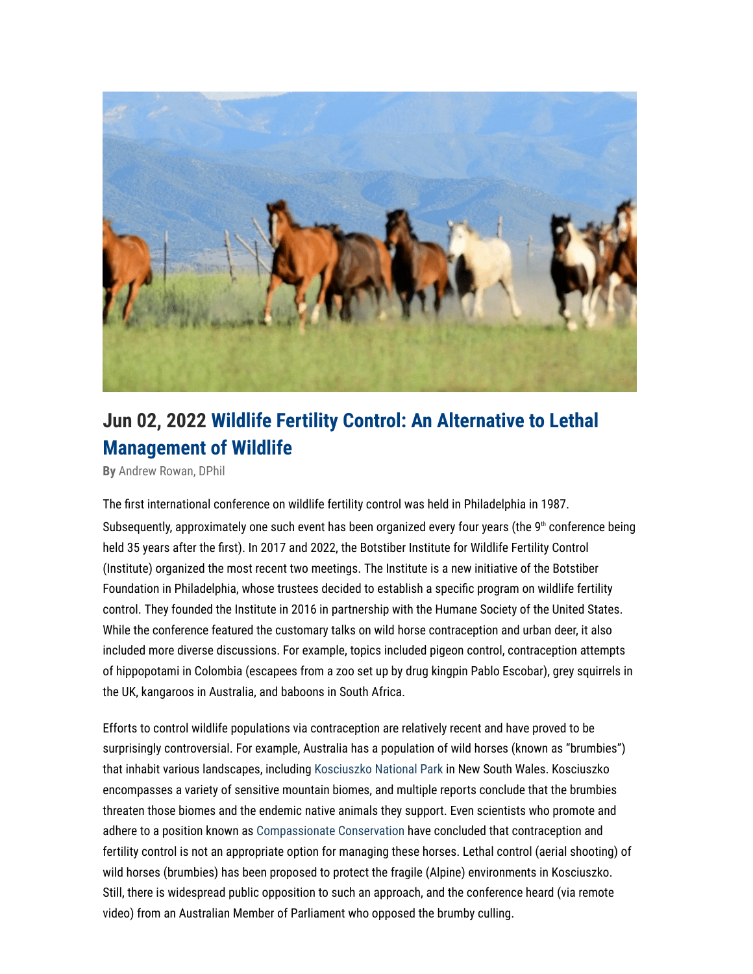

## **Jun 02, 2022 Wildlife Fertility Control: An Alternative to Lethal Management of Wildlife**

**By** [Andrew Rowan, DPhil](https://wellbeingintl.org/author/andrew-rowan-dphil/)

The first international conference on wildlife fertility control was held in Philadelphia in 1987. Subsequently, approximately one such event has been organized every four years (the  $9<sup>th</sup>$  conference being held 35 years after the first). In 2017 and 2022, the Botstiber Institute for Wildlife Fertility Control (Institute) organized the most recent two meetings. The Institute is a new initiative of the Botstiber Foundation in Philadelphia, whose trustees decided to establish a specific program on wildlife fertility control. They founded the Institute in 2016 in partnership with the Humane Society of the United States. While the conference featured the customary talks on wild horse contraception and urban deer, it also included more diverse discussions. For example, topics included pigeon control, contraception attempts of hippopotami in Colombia (escapees from a zoo set up by drug kingpin Pablo Escobar), grey squirrels in the UK, kangaroos in Australia, and baboons in South Africa.

Efforts to control wildlife populations via contraception are relatively recent and have proved to be surprisingly controversial. For example, Australia has a population of wild horses (known as "brumbies") that inhabit various landscapes, including [Kosciuszko National Park](https://www.abc.net.au/religion/the-brumbies-of-kosciuszko-national-park/12402366) in New South Wales. Kosciuszko encompasses a variety of sensitive mountain biomes, and multiple reports conclude that the brumbies threaten those biomes and the endemic native animals they support. Even scientists who promote and adhere to a position known as [Compassionate Conservation](https://www.uts.edu.au/research-and-teaching/our-research/centre-compassionate-conservation/about-us/what-compassionate-conservation) have concluded that contraception and fertility control is not an appropriate option for managing these horses. Lethal control (aerial shooting) of wild horses (brumbies) has been proposed to protect the fragile (Alpine) environments in Kosciuszko. Still, there is widespread public opposition to such an approach, and the conference heard (via remote video) from an Australian Member of Parliament who opposed the brumby culling.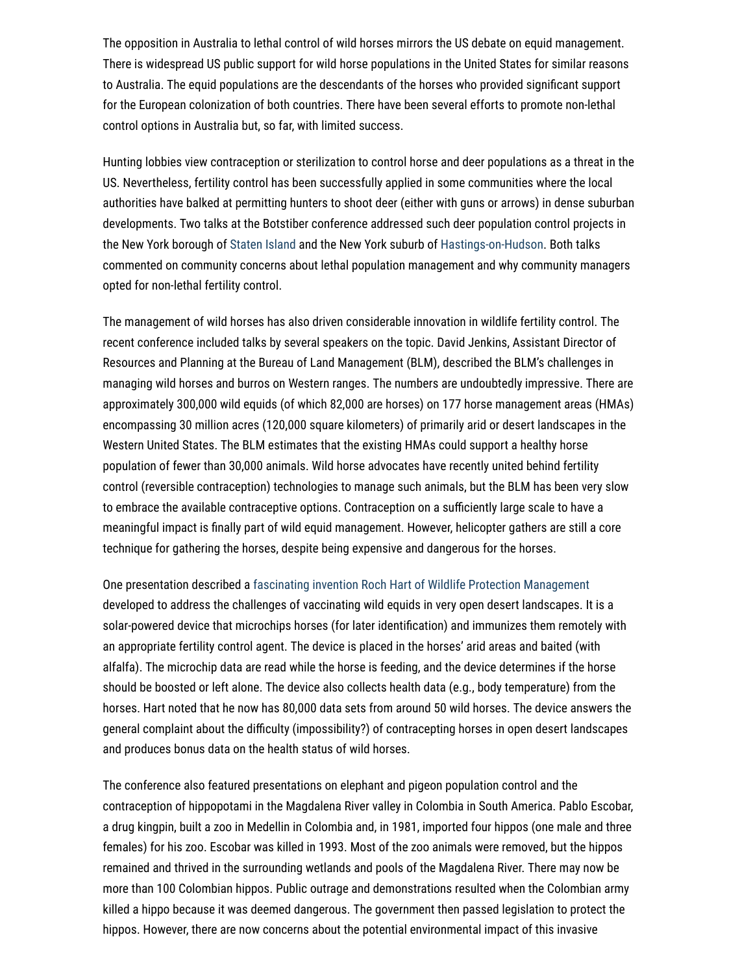The opposition in Australia to lethal control of wild horses mirrors the US debate on equid management. There is widespread US public support for wild horse populations in the United States for similar reasons to Australia. The equid populations are the descendants of the horses who provided significant support for the European colonization of both countries. There have been several efforts to promote non-lethal control options in Australia but, so far, with limited success.

Hunting lobbies view contraception or sterilization to control horse and deer populations as a threat in the US. Nevertheless, fertility control has been successfully applied in some communities where the local authorities have balked at permitting hunters to shoot deer (either with guns or arrows) in dense suburban developments. Two talks at the Botstiber conference addressed such deer population control projects in the New York borough of [Staten Island](https://storymaps.arcgis.com/stories/bffd49bd10b24b379a6c4d701c586230) and the New York suburb of [Hastings-on-Hudson.](https://www.hastingsgov.org/deer-immunocontraception-project) Both talks commented on community concerns about lethal population management and why community managers opted for non-lethal fertility control.

The management of wild horses has also driven considerable innovation in wildlife fertility control. The recent conference included talks by several speakers on the topic. David Jenkins, Assistant Director of Resources and Planning at the Bureau of Land Management (BLM), described the BLM's challenges in managing wild horses and burros on Western ranges. The numbers are undoubtedly impressive. There are approximately 300,000 wild equids (of which 82,000 are horses) on 177 horse management areas (HMAs) encompassing 30 million acres (120,000 square kilometers) of primarily arid or desert landscapes in the Western United States. The BLM estimates that the existing HMAs could support a healthy horse population of fewer than 30,000 animals. Wild horse advocates have recently united behind fertility control (reversible contraception) technologies to manage such animals, but the BLM has been very slow to embrace the available contraceptive options. Contraception on a sufficiently large scale to have a meaningful impact is finally part of wild equid management. However, helicopter gathers are still a core technique for gathering the horses, despite being expensive and dangerous for the horses.

One presentation described a [fascinating invention Roch Hart of Wildlife Protection Management](https://vimeo.com/425495555/31b1bff608) developed to address the challenges of vaccinating wild equids in very open desert landscapes. It is a solar-powered device that microchips horses (for later identification) and immunizes them remotely with an appropriate fertility control agent. The device is placed in the horses' arid areas and baited (with alfalfa). The microchip data are read while the horse is feeding, and the device determines if the horse should be boosted or left alone. The device also collects health data (e.g., body temperature) from the horses. Hart noted that he now has 80,000 data sets from around 50 wild horses. The device answers the general complaint about the difficulty (impossibility?) of contracepting horses in open desert landscapes and produces bonus data on the health status of wild horses.

The conference also featured presentations on elephant and pigeon population control and the contraception of hippopotami in the Magdalena River valley in Colombia in South America. Pablo Escobar, a drug kingpin, built a zoo in Medellin in Colombia and, in 1981, imported four hippos (one male and three females) for his zoo. Escobar was killed in 1993. Most of the zoo animals were removed, but the hippos remained and thrived in the surrounding wetlands and pools of the Magdalena River. There may now be more than 100 Colombian hippos. Public outrage and demonstrations resulted when the Colombian army killed a hippo because it was deemed dangerous. The government then passed legislation to protect the hippos. However, there are now concerns about the potential environmental impact of this invasive